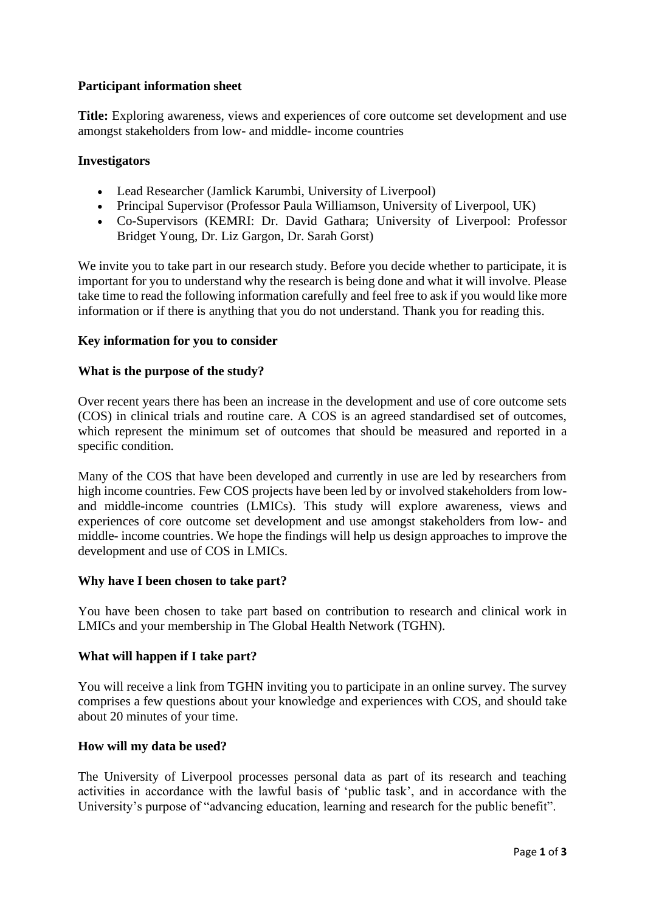# **Participant information sheet**

**Title:** Exploring awareness, views and experiences of core outcome set development and use amongst stakeholders from low- and middle- income countries

# **Investigators**

- Lead Researcher (Jamlick Karumbi, University of Liverpool)
- Principal Supervisor (Professor Paula Williamson, University of Liverpool, UK)
- Co-Supervisors (KEMRI: Dr. David Gathara; University of Liverpool: Professor Bridget Young, Dr. Liz Gargon, Dr. Sarah Gorst)

We invite you to take part in our research study. Before you decide whether to participate, it is important for you to understand why the research is being done and what it will involve. Please take time to read the following information carefully and feel free to ask if you would like more information or if there is anything that you do not understand. Thank you for reading this.

# **Key information for you to consider**

### **What is the purpose of the study?**

Over recent years there has been an increase in the development and use of core outcome sets (COS) in clinical trials and routine care. A COS is an agreed standardised set of outcomes, which represent the minimum set of outcomes that should be measured and reported in a specific condition.

Many of the COS that have been developed and currently in use are led by researchers from high income countries. Few COS projects have been led by or involved stakeholders from lowand middle-income countries (LMICs). This study will explore awareness, views and experiences of core outcome set development and use amongst stakeholders from low- and middle- income countries. We hope the findings will help us design approaches to improve the development and use of COS in LMICs.

#### **Why have I been chosen to take part?**

You have been chosen to take part based on contribution to research and clinical work in LMICs and your membership in The Global Health Network (TGHN).

# **What will happen if I take part?**

You will receive a link from TGHN inviting you to participate in an online survey. The survey comprises a few questions about your knowledge and experiences with COS, and should take about 20 minutes of your time.

# **How will my data be used?**

The University of Liverpool processes personal data as part of its research and teaching activities in accordance with the lawful basis of 'public task', and in accordance with the University's purpose of "advancing education, learning and research for the public benefit".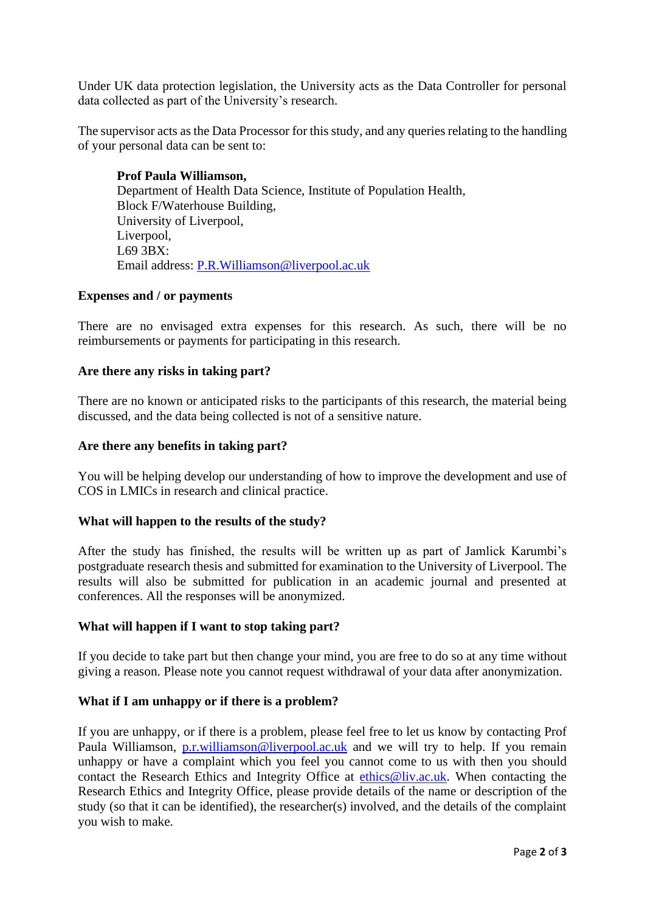Under UK data protection legislation, the University acts as the Data Controller for personal data collected as part of the University's research.

The supervisor acts as the Data Processor for this study, and any queries relating to the handling of your personal data can be sent to:

**Prof Paula Williamson,**  Department of Health Data Science, Institute of Population Health, Block F/Waterhouse Building, University of Liverpool, Liverpool, L69 3BX: Email address: [P.R.Williamson@liverpool.ac.uk](mailto:P.R.Williamson@liverpool.ac.uk)

### **Expenses and / or payments**

There are no envisaged extra expenses for this research. As such, there will be no reimbursements or payments for participating in this research.

### **Are there any risks in taking part?**

There are no known or anticipated risks to the participants of this research, the material being discussed, and the data being collected is not of a sensitive nature.

### **Are there any benefits in taking part?**

You will be helping develop our understanding of how to improve the development and use of COS in LMICs in research and clinical practice.

#### **What will happen to the results of the study?**

After the study has finished, the results will be written up as part of Jamlick Karumbi's postgraduate research thesis and submitted for examination to the University of Liverpool. The results will also be submitted for publication in an academic journal and presented at conferences. All the responses will be anonymized.

#### **What will happen if I want to stop taking part?**

If you decide to take part but then change your mind, you are free to do so at any time without giving a reason. Please note you cannot request withdrawal of your data after anonymization.

# **What if I am unhappy or if there is a problem?**

If you are unhappy, or if there is a problem, please feel free to let us know by contacting Prof Paula Williamson, [p.r.williamson@liverpool.ac.uk](mailto:p.r.williamson@liverpool.ac.uk) and we will try to help. If you remain unhappy or have a complaint which you feel you cannot come to us with then you should contact the Research Ethics and Integrity Office at [ethics@liv.ac.uk.](mailto:ethics@liv.ac.uk) When contacting the Research Ethics and Integrity Office, please provide details of the name or description of the study (so that it can be identified), the researcher(s) involved, and the details of the complaint you wish to make.